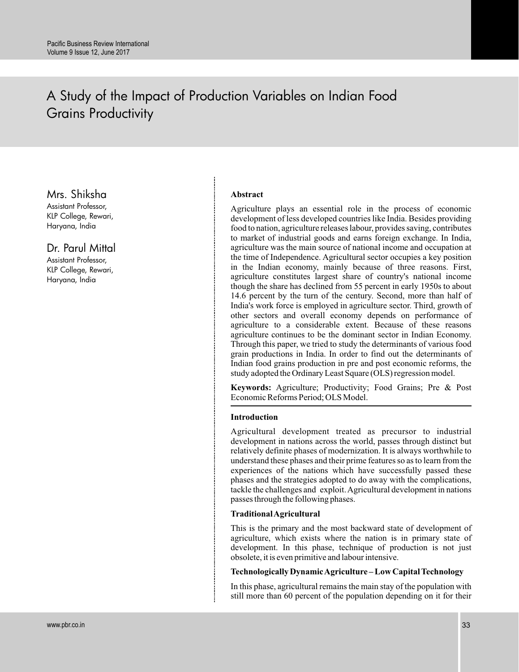# A Study of the Impact of Production Variables on Indian Food Grains Productivity

Mrs. Shiksha

Assistant Professor, KLP College, Rewari, Haryana, India

Dr. Parul Mittal

Assistant Professor, KLP College, Rewari, Haryana, India

# **Abstract**

Agriculture plays an essential role in the process of economic development of less developed countries like India. Besides providing food to nation, agriculture releases labour, provides saving, contributes to market of industrial goods and earns foreign exchange. In India, agriculture was the main source of national income and occupation at the time of Independence. Agricultural sector occupies a key position in the Indian economy, mainly because of three reasons. First, agriculture constitutes largest share of country's national income though the share has declined from 55 percent in early 1950s to about 14.6 percent by the turn of the century. Second, more than half of India's work force is employed in agriculture sector. Third, growth of other sectors and overall economy depends on performance of agriculture to a considerable extent. Because of these reasons agriculture continues to be the dominant sector in Indian Economy. Through this paper, we tried to study the determinants of various food grain productions in India. In order to find out the determinants of Indian food grains production in pre and post economic reforms, the study adopted the Ordinary Least Square (OLS) regression model.

**Keywords:** Agriculture; Productivity; Food Grains; Pre & Post Economic Reforms Period; OLS Model.

## **Introduction**

Agricultural development treated as precursor to industrial development in nations across the world, passes through distinct but relatively definite phases of modernization. It is always worthwhile to understand these phases and their prime features so as to learn from the experiences of the nations which have successfully passed these phases and the strategies adopted to do away with the complications, tackle the challenges and exploit.Agricultural development in nations passes through the following phases.

#### **TraditionalAgricultural**

This is the primary and the most backward state of development of agriculture, which exists where the nation is in primary state of development. In this phase, technique of production is not just obsolete, it is even primitive and labour intensive.

# **Technologically DynamicAgriculture – Low Capital Technology**

In this phase, agricultural remains the main stay of the population with still more than 60 percent of the population depending on it for their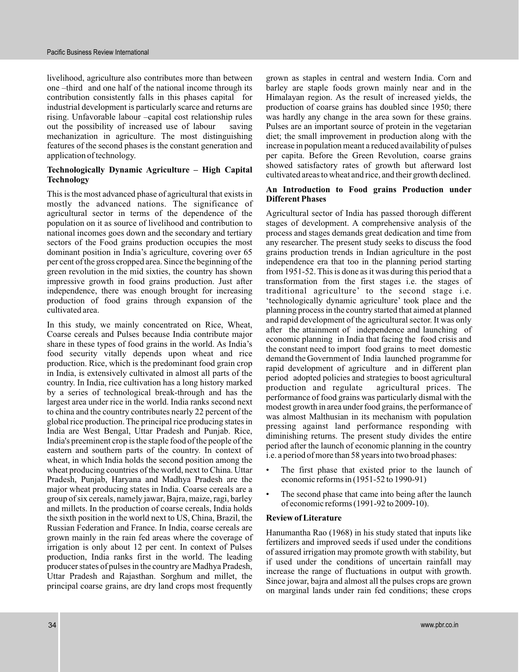livelihood, agriculture also contributes more than between one –third and one half of the national income through its contribution consistently falls in this phases capital for industrial development is particularly scarce and returns are rising. Unfavorable labour –capital cost relationship rules out the possibility of increased use of labour saving mechanization in agriculture. The most distinguishing features of the second phases is the constant generation and application of technology.

# **Technologically Dynamic Agriculture – High Capital Technology**

This is the most advanced phase of agricultural that exists in mostly the advanced nations. The significance of agricultural sector in terms of the dependence of the population on it as source of livelihood and contribution to national incomes goes down and the secondary and tertiary sectors of the Food grains production occupies the most dominant position in India's agriculture, covering over 65 per cent of the gross cropped area. Since the beginning of the green revolution in the mid sixties, the country has shown impressive growth in food grains production. Just after independence, there was enough brought for increasing production of food grains through expansion of the cultivated area.

In this study, we mainly concentrated on Rice, Wheat, Coarse cereals and Pulses because India contribute major share in these types of food grains in the world. As India's food security vitally depends upon wheat and rice production. Rice, which is the predominant food grain crop in India, is extensively cultivated in almost all parts of the country. In India, rice cultivation has a long history marked by a series of technological break-through and has the largest area under rice in the world. India ranks second next to china and the country contributes nearly 22 percent of the global rice production. The principal rice producing states in India are West Bengal, Uttar Pradesh and Punjab. Rice, India's preeminent crop is the staple food of the people of the eastern and southern parts of the country. In context of wheat, in which India holds the second position among the wheat producing countries of the world, next to China. Uttar Pradesh, Punjab, Haryana and Madhya Pradesh are the major wheat producing states in India. Coarse cereals are a group of six cereals, namely jawar, Bajra, maize, ragi, barley and millets. In the production of coarse cereals, India holds the sixth position in the world next to US, China, Brazil, the Russian Federation and France. In India, coarse cereals are grown mainly in the rain fed areas where the coverage of irrigation is only about 12 per cent. In context of Pulses production, India ranks first in the world. The leading producer states of pulses in the country are Madhya Pradesh, Uttar Pradesh and Rajasthan. Sorghum and millet, the principal coarse grains, are dry land crops most frequently

grown as staples in central and western India. Corn and barley are staple foods grown mainly near and in the Himalayan region. As the result of increased yields, the production of coarse grains has doubled since 1950; there was hardly any change in the area sown for these grains. Pulses are an important source of protein in the vegetarian diet; the small improvement in production along with the increase in population meant a reduced availability of pulses per capita. Before the Green Revolution, coarse grains showed satisfactory rates of growth but afterward lost cultivated areas to wheat and rice, and their growth declined.

## **An Introduction to Food grains Production under Different Phases**

Agricultural sector of India has passed thorough different stages of development. A comprehensive analysis of the process and stages demands great dedication and time from any researcher. The present study seeks to discuss the food grains production trends in Indian agriculture in the post independence era that too in the planning period starting from 1951-52. This is done as it was during this period that a transformation from the first stages i.e. the stages of traditional agriculture' to the second stage i.e. 'technologically dynamic agriculture' took place and the planning process in the country started that aimed at planned and rapid development of the agricultural sector. It was only after the attainment of independence and launching of economic planning in India that facing the food crisis and the constant need to import food grains to meet domestic demand the Government of India launched programme for rapid development of agriculture and in different plan period adopted policies and strategies to boost agricultural production and regulate agricultural prices. The performance of food grains was particularly dismal with the modest growth in area under food grains, the performance of was almost Malthusian in its mechanism with population pressing against land performance responding with diminishing returns. The present study divides the entire period after the launch of economic planning in the country i.e. a period of more than 58 years into two broad phases:

- The first phase that existed prior to the launch of economic reforms in (1951-52 to 1990-91)
- The second phase that came into being after the launch of economic reforms (1991-92 to 2009-10).

#### **Review of Literature**

Hanumantha Rao (1968) in his study stated that inputs like fertilizers and improved seeds if used under the conditions of assured irrigation may promote growth with stability, but if used under the conditions of uncertain rainfall may increase the range of fluctuations in output with growth. Since jowar, bajra and almost all the pulses crops are grown on marginal lands under rain fed conditions; these crops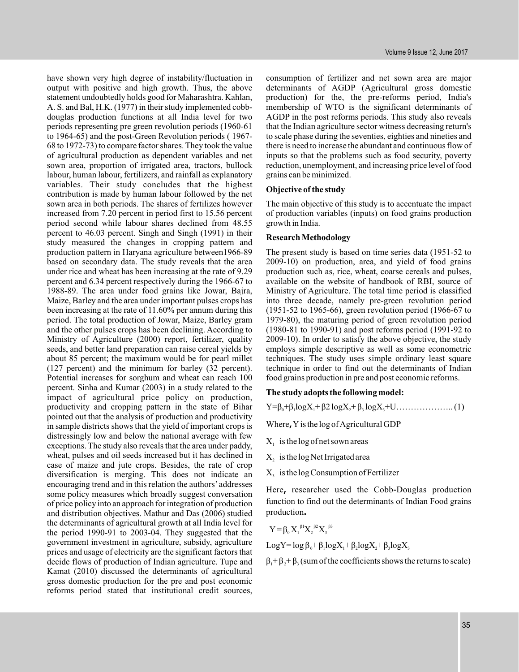have shown very high degree of instability/fluctuation in output with positive and high growth. Thus, the above statement undoubtedly holds good for Maharashtra. Kahlan, A. S. and Bal, H.K. (1977) in their study implemented cobbdouglas production functions at all India level for two periods representing pre green revolution periods (1960-61 to 1964-65) and the post-Green Revolution periods ( 1967- 68 to 1972-73) to compare factor shares. They took the value of agricultural production as dependent variables and net sown area, proportion of irrigated area, tractors, bullock labour, human labour, fertilizers, and rainfall as explanatory variables. Their study concludes that the highest contribution is made by human labour followed by the net sown area in both periods. The shares of fertilizes however increased from 7.20 percent in period first to 15.56 percent period second while labour shares declined from 48.55 percent to 46.03 percent. Singh and Singh (1991) in their study measured the changes in cropping pattern and production pattern in Haryana agriculture between1966-89 based on secondary data. The study reveals that the area under rice and wheat has been increasing at the rate of 9.29 percent and 6.34 percent respectively during the 1966-67 to 1988-89. The area under food grains like Jowar, Bajra, Maize, Barley and the area under important pulses crops has been increasing at the rate of 11.60% per annum during this period. The total production of Jowar, Maize, Barley gram and the other pulses crops has been declining. According to Ministry of Agriculture (2000) report, fertilizer, quality seeds, and better land preparation can raise cereal yields by about 85 percent; the maximum would be for pearl millet (127 percent) and the minimum for barley (32 percent). Potential increases for sorghum and wheat can reach 100 percent. Sinha and Kumar (2003) in a study related to the impact of agricultural price policy on production, productivity and cropping pattern in the state of Bihar pointed out that the analysis of production and productivity in sample districts shows that the yield of important crops is distressingly low and below the national average with few exceptions. The study also reveals that the area under paddy, wheat, pulses and oil seeds increased but it has declined in case of maize and jute crops. Besides, the rate of crop diversification is merging. This does not indicate an encouraging trend and in this relation the authors' addresses some policy measures which broadly suggest conversation of price policy into an approach for integration of production and distribution objectives. Mathur and Das (2006) studied the determinants of agricultural growth at all India level for the period 1990-91 to 2003-04. They suggested that the government investment in agriculture, subsidy, agriculture prices and usage of electricity are the significant factors that decide flows of production of Indian agriculture. Tupe and Kamat (2010) discussed the determinants of agricultural gross domestic production for the pre and post economic reforms period stated that institutional credit sources,

consumption of fertilizer and net sown area are major determinants of AGDP (Agricultural gross domestic production) for the, the pre-reforms period, India's membership of WTO is the significant determinants of AGDP in the post reforms periods. This study also reveals that the Indian agriculture sector witness decreasing return's to scale phase during the seventies, eighties and nineties and there is need to increase the abundant and continuous flow of inputs so that the problems such as food security, poverty reduction, unemployment, and increasing price level of food grains can be minimized.

#### **Objective of the study**

The main objective of this study is to accentuate the impact of production variables (inputs) on food grains production growth in India.

## **Research Methodology**

The present study is based on time series data (1951-52 to 2009-10) on production, area, and yield of food grains production such as, rice, wheat, coarse cereals and pulses, available on the website of handbook of RBI, source of Ministry of Agriculture. The total time period is classified into three decade, namely pre-green revolution period (1951-52 to 1965-66), green revolution period (1966-67 to 1979-80), the maturing period of green revolution period (1980-81 to 1990-91) and post reforms period (1991-92 to 2009-10). In order to satisfy the above objective, the study employs simple descriptive as well as some econometric techniques. The study uses simple ordinary least square technique in order to find out the determinants of Indian food grains production in pre and post economic reforms.

# **The study adopts the following model:**

Y=β +β + β2 logX + β 0 1 1 2 3 3 logX logX +U……………….. (1)

Where,  $Y$  is the log of Agricultural GDP

- $X_i$  is the log of net sown areas
- $X_2$  is the log Net Irrigated area
- $X_3$  is the log Consumption of Fertilizer

Here, researcher used the Cobb-Douglas production function to find out the determinants of Indian Food grains production

$$
Y = \beta_0 X_1^{\beta 1} X_2^{\beta 2} X_3^{\beta 3}
$$
  
LogY = log  $\beta_0$  +  $\beta_1$ logX<sub>1</sub> +  $\beta_2$ logX<sub>2</sub> +  $\beta_3$ logX<sub>3</sub>

 $\beta_1 + \beta_2 + \beta_3$  (sum of the coefficients shows the returns to scale)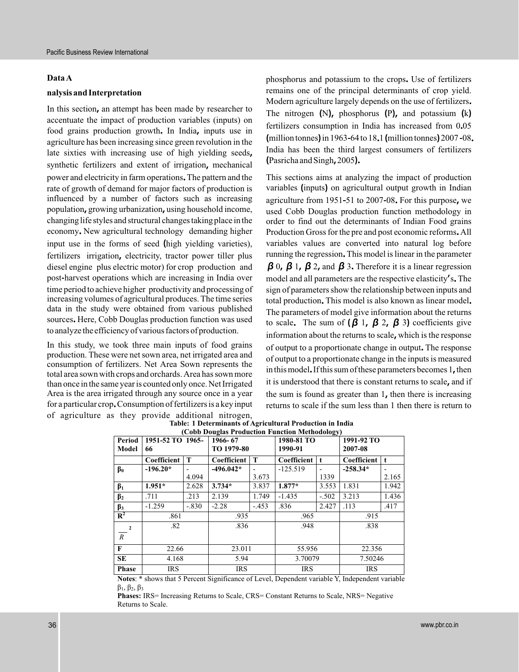#### **Data A**

## **nalysis and Interpretation**

In this section, an attempt has been made by researcher to accentuate the impact of production variables (inputs) on food grains production growth. In India, inputs use in agriculture has been increasing since green revolution in the late sixties with increasing use of high yielding seeds, synthetic fertilizers and extent of irrigation, mechanical power and electricity in farm operations. The pattern and the rate of growth of demand for major factors of production is influenced by a number of factors such as increasing population, growing urbanization, using household income, changing life styles and structural changes taking place in the economy. New agricultural technology demanding higher input use in the forms of seed (high yielding varieties), fertilizers irrigation, electricity, tractor power tiller plus diesel engine plus electric motor) for crop production and post harvest operations which are increasing in India over time period to achieve higher productivity and processing of increasing volumes of agricultural produces. The time series data in the study were obtained from various published sources. Here, Cobb Douglas production function was used to analyzethe efficiency of various factors of production.

In this study, we took three main inputs of food grains production. These were net sown area, net irrigated area and consumption of fertilizers. Net Area Sown represents the total area sown with crops and orchards. Area has sown more than once in the same year is counted only once. Net Irrigated Area is the area irrigated through any source once in a year for a particular crop. Consumption of fertilizers is a key input of agriculture as they provide additional nitrogen,

phosphorus and potassium to the crops. Use of fertilizers remains one of the principal determinants of crop yield. Modern agriculture largely depends on the use of fertilizers. The nitrogen  $(N)$ , phosphorus  $(P)$ , and potassium  $(k)$ fertilizers consumption in India has increased from 0.05  $(million tonnes)$  in 1963-64 to 18.1  $(million tonnes)$  2007-08. India has been the third largest consumers of fertilizers  $(Pasricha and Singh, 2005)$ .

This sections aims at analyzing the impact of production variables (inputs) on agricultural output growth in Indian agriculture from 1951-51 to 2007-08. For this purpose, we used Cobb Douglas production function methodology in order to find out the determinants of Indian Food grains Production Gross for the pre and post economic reforms. All variables values are converted into natural log before running the regression. This model is linear in the parameter  $\beta$  0,  $\beta$  1,  $\beta$  2, and  $\beta$  3. Therefore it is a linear regression model and all parameters are the respective elasticity's. The sign of parameters show the relationship between inputs and total production. This model is also known as linear model. The parameters of model give information about the returns to scale. The sum of  $(\beta \, 1, \beta \, 2, \beta \, 3)$  coefficients give information about the returns to scale, which is the response of output to a proportionate change in output. The response of output to a proportionate change in the inputs is measured in this model. If this sum of these parameters becomes 1, then it is understood that there is constant returns to scale, and if the sum is found as greater than  $1$ , then there is increasing returns to scale if the sum less than 1 then there is return to

| (Cobb Douglas Production Function Methodology) |                  |         |             |        |             |         |             |              |
|------------------------------------------------|------------------|---------|-------------|--------|-------------|---------|-------------|--------------|
| Period                                         | 1951-52 TO 1965- |         | 1966-67     |        | 1980-81 TO  |         | 1991-92 TO  |              |
| Model                                          | 66               |         | TO 1979-80  |        | 1990-91     |         | 2007-08     |              |
|                                                | Coefficient      | т       | Coefficient | T      | Coefficient | t       | Coefficient | $\mathbf{t}$ |
| $\beta_0$                                      | $-196.20*$       |         | $-496.042*$ | -      | $-125.519$  | -       | $-258.34*$  |              |
|                                                |                  | 4.094   |             | 3.673  |             | 1339    |             | 2.165        |
| $\beta_1$                                      | $1.951*$         | 2.628   | $3.734*$    | 3.837  | $1.877*$    | 3.553   | 1.831       | 1.942        |
| $\beta_2$                                      | .711             | .213    | 2.139       | 1.749  | $-1.435$    | $-.502$ | 3.213       | 1.436        |
| $\beta_3$                                      | $-1.259$         | $-.830$ | $-2.28$     | $-453$ | .836        | 2.427   | .113        | .417         |
| $R^2$                                          | .861             |         | .935        |        | .965        |         | .915        |              |
| $\overline{2}$                                 | .82              |         | .836        |        | .948        |         | .838        |              |
| $\mathbb{R}$                                   |                  |         |             |        |             |         |             |              |
| F                                              | 22.66            |         | 23.011      |        | 55.956      |         | 22.356      |              |
| <b>SE</b>                                      | 4.168            |         | 5.94        |        | 3.70079     |         | 7.50246     |              |
| <b>Phase</b>                                   | <b>IRS</b>       |         | <b>IRS</b>  |        | <b>IRS</b>  |         | <b>IRS</b>  |              |

**Table: 1 Determinants of Agricultural Production in India (Cobb Douglas Production Function Methodology)**

**Notes**: \* shows that 5 Percent Significance of Level, Dependent variable Y, Independent variable  $β<sub>1</sub>, β<sub>2</sub>, β<sub>3</sub>$ 

**Phases:** IRS= Increasing Returns to Scale, CRS= Constant Returns to Scale, NRS= Negative Returns to Scale.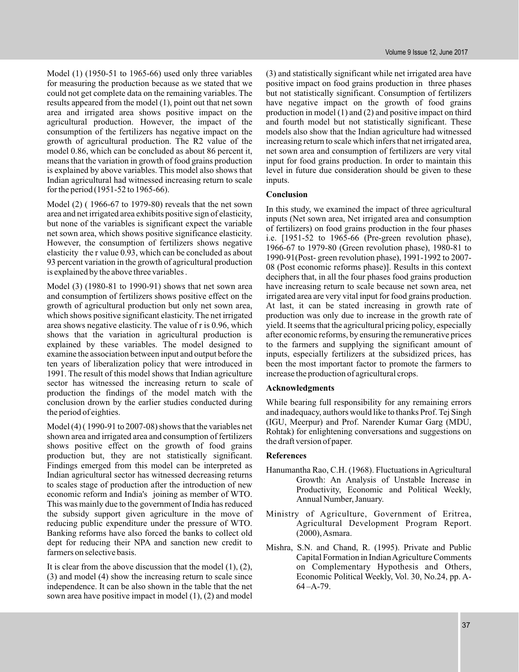Model (1) (1950-51 to 1965-66) used only three variables for measuring the production because as we stated that we could not get complete data on the remaining variables. The results appeared from the model (1), point out that net sown area and irrigated area shows positive impact on the agricultural production. However, the impact of the consumption of the fertilizers has negative impact on the growth of agricultural production. The R2 value of the model 0.86, which can be concluded as about 86 percent it, means that the variation in growth of food grains production is explained by above variables. This model also shows that Indian agricultural had witnessed increasing return to scale for the period (1951-52 to 1965-66).

Model (2) ( 1966-67 to 1979-80) reveals that the net sown area and net irrigated area exhibits positive sign of elasticity, but none of the variables is significant expect the variable net sown area, which shows positive significance elasticity. However, the consumption of fertilizers shows negative elasticity the r value 0.93, which can be concluded as about 93 percent variation in the growth of agricultural production is explained by the above three variables .

Model (3) (1980-81 to 1990-91) shows that net sown area and consumption of fertilizers shows positive effect on the growth of agricultural production but only net sown area, which shows positive significant elasticity. The net irrigated area shows negative elasticity. The value of r is 0.96, which shows that the variation in agricultural production is explained by these variables. The model designed to examine the association between input and output before the ten years of liberalization policy that were introduced in 1991. The result of this model shows that Indian agriculture sector has witnessed the increasing return to scale of production the findings of the model match with the conclusion drown by the earlier studies conducted during the period of eighties.

Model (4) ( 1990-91 to 2007-08) shows that the variables net shown area and irrigated area and consumption of fertilizers shows positive effect on the growth of food grains production but, they are not statistically significant. Findings emerged from this model can be interpreted as Indian agricultural sector has witnessed decreasing returns to scales stage of production after the introduction of new economic reform and India's joining as member of WTO. This was mainly due to the government of India has reduced the subsidy support given agriculture in the move of reducing public expenditure under the pressure of WTO. Banking reforms have also forced the banks to collect old dept for reducing their NPA and sanction new credit to farmers on selective basis.

It is clear from the above discussion that the model (1), (2), (3) and model (4) show the increasing return to scale since independence. It can be also shown in the table that the net sown area have positive impact in model (1), (2) and model

(3) and statistically significant while net irrigated area have positive impact on food grains production in three phases but not statistically significant. Consumption of fertilizers have negative impact on the growth of food grains production in model (1) and (2) and positive impact on third and fourth model but not statistically significant. These models also show that the Indian agriculture had witnessed increasing return to scale which infers that net irrigated area, net sown area and consumption of fertilizers are very vital input for food grains production. In order to maintain this level in future due consideration should be given to these inputs.

## **Conclusion**

In this study, we examined the impact of three agricultural inputs (Net sown area, Net irrigated area and consumption of fertilizers) on food grains production in the four phases i.e. [1951-52 to 1965-66 (Pre-green revolution phase), 1966-67 to 1979-80 (Green revolution phase), 1980-81 to 1990-91(Post- green revolution phase), 1991-1992 to 2007- 08 (Post economic reforms phase)]. Results in this context deciphers that, in all the four phases food grains production have increasing return to scale because net sown area, net irrigated area are very vital input for food grains production. At last, it can be stated increasing in growth rate of production was only due to increase in the growth rate of yield. It seems that the agricultural pricing policy, especially after economic reforms, by ensuring the remunerative prices to the farmers and supplying the significant amount of inputs, especially fertilizers at the subsidized prices, has been the most important factor to promote the farmers to increase the production of agricultural crops.

#### **Acknowledgments**

While bearing full responsibility for any remaining errors and inadequacy, authors would like to thanks Prof. Tej Singh (IGU, Meerpur) and Prof. Narender Kumar Garg (MDU, Rohtak) for enlightening conversations and suggestions on the draft version of paper.

#### **References**

- Hanumantha Rao, C.H. (1968). Fluctuations in Agricultural Growth: An Analysis of Unstable Increase in Productivity, Economic and Political Weekly, Annual Number, January.
- Ministry of Agriculture, Government of Eritrea, Agricultural Development Program Report. (2000),Asmara.
- Mishra, S.N. and Chand, R. (1995). Private and Public Capital Formation in IndianAgriculture Comments on Complementary Hypothesis and Others, Economic Political Weekly, Vol. 30, No.24, pp. A- $64 - A - 79.$